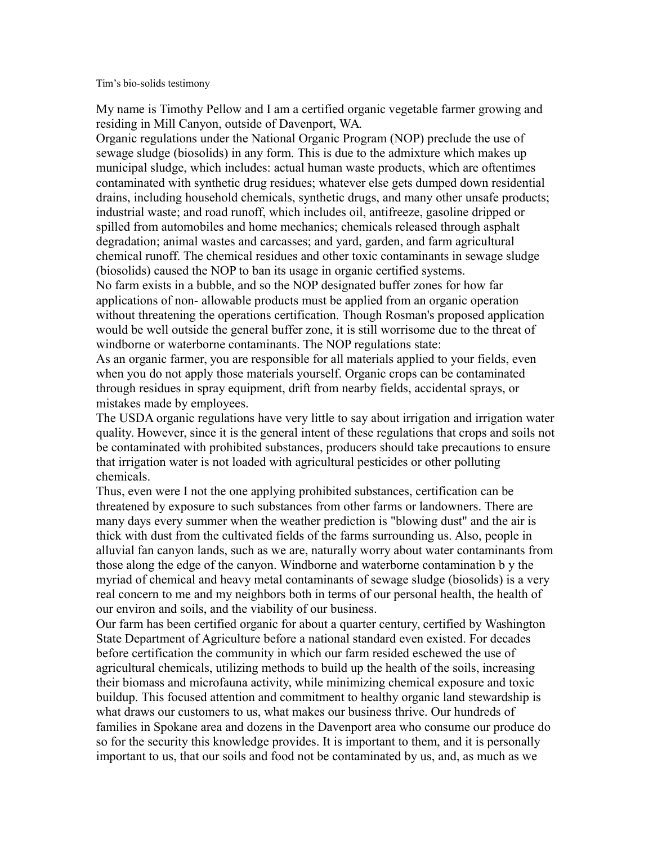Tim's bio-solids testimony

My name is Timothy Pellow and I am a certified organic vegetable farmer growing and residing in Mill Canyon, outside of Davenport, WA.

Organic regulations under the National Organic Program (NOP) preclude the use of sewage sludge (biosolids) in any form. This is due to the admixture which makes up municipal sludge, which includes: actual human waste products, which are oftentimes contaminated with synthetic drug residues; whatever else gets dumped down residential drains, including household chemicals, synthetic drugs, and many other unsafe products; industrial waste; and road runoff, which includes oil, antifreeze, gasoline dripped or spilled from automobiles and home mechanics; chemicals released through asphalt degradation; animal wastes and carcasses; and yard, garden, and farm agricultural chemical runoff. The chemical residues and other toxic contaminants in sewage sludge (biosolids) caused the NOP to ban its usage in organic certified systems.

No farm exists in a bubble, and so the NOP designated buffer zones for how far applications of non- allowable products must be applied from an organic operation without threatening the operations certification. Though Rosman's proposed application would be well outside the general buffer zone, it is still worrisome due to the threat of windborne or waterborne contaminants. The NOP regulations state:

As an organic farmer, you are responsible for all materials applied to your fields, even when you do not apply those materials yourself. Organic crops can be contaminated through residues in spray equipment, drift from nearby fields, accidental sprays, or mistakes made by employees.

The USDA organic regulations have very little to say about irrigation and irrigation water quality. However, since it is the general intent of these regulations that crops and soils not be contaminated with prohibited substances, producers should take precautions to ensure that irrigation water is not loaded with agricultural pesticides or other polluting chemicals.

Thus, even were I not the one applying prohibited substances, certification can be threatened by exposure to such substances from other farms or landowners. There are many days every summer when the weather prediction is "blowing dust" and the air is thick with dust from the cultivated fields of the farms surrounding us. Also, people in alluvial fan canyon lands, such as we are, naturally worry about water contaminants from those along the edge of the canyon. Windborne and waterborne contamination b y the myriad of chemical and heavy metal contaminants of sewage sludge (biosolids) is a very real concern to me and my neighbors both in terms of our personal health, the health of our environ and soils, and the viability of our business.

Our farm has been certified organic for about a quarter century, certified by Washington State Department of Agriculture before a national standard even existed. For decades before certification the community in which our farm resided eschewed the use of agricultural chemicals, utilizing methods to build up the health of the soils, increasing their biomass and microfauna activity, while minimizing chemical exposure and toxic buildup. This focused attention and commitment to healthy organic land stewardship is what draws our customers to us, what makes our business thrive. Our hundreds of families in Spokane area and dozens in the Davenport area who consume our produce do so for the security this knowledge provides. It is important to them, and it is personally important to us, that our soils and food not be contaminated by us, and, as much as we